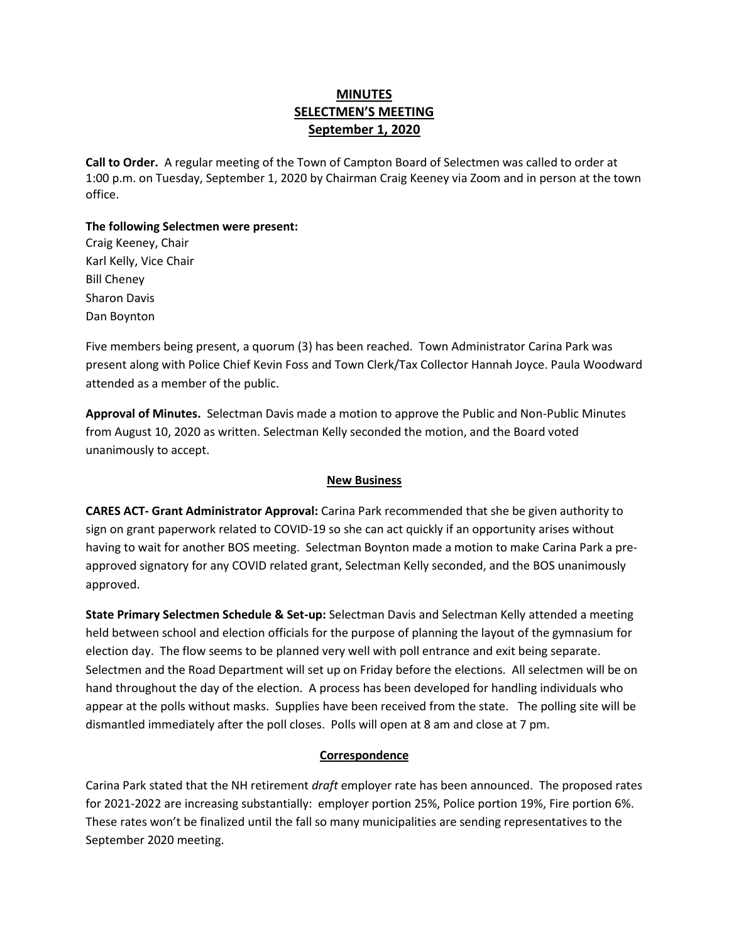## **MINUTES SELECTMEN'S MEETING September 1, 2020**

**Call to Order.** A regular meeting of the Town of Campton Board of Selectmen was called to order at 1:00 p.m. on Tuesday, September 1, 2020 by Chairman Craig Keeney via Zoom and in person at the town office.

# **The following Selectmen were present:**

Craig Keeney, Chair Karl Kelly, Vice Chair Bill Cheney Sharon Davis Dan Boynton

Five members being present, a quorum (3) has been reached.Town Administrator Carina Park was present along with Police Chief Kevin Foss and Town Clerk/Tax Collector Hannah Joyce. Paula Woodward attended as a member of the public.

**Approval of Minutes.** Selectman Davis made a motion to approve the Public and Non-Public Minutes from August 10, 2020 as written. Selectman Kelly seconded the motion, and the Board voted unanimously to accept.

### **New Business**

**CARES ACT- Grant Administrator Approval:** Carina Park recommended that she be given authority to sign on grant paperwork related to COVID-19 so she can act quickly if an opportunity arises without having to wait for another BOS meeting. Selectman Boynton made a motion to make Carina Park a preapproved signatory for any COVID related grant, Selectman Kelly seconded, and the BOS unanimously approved.

**State Primary Selectmen Schedule & Set-up:** Selectman Davis and Selectman Kelly attended a meeting held between school and election officials for the purpose of planning the layout of the gymnasium for election day. The flow seems to be planned very well with poll entrance and exit being separate. Selectmen and the Road Department will set up on Friday before the elections. All selectmen will be on hand throughout the day of the election. A process has been developed for handling individuals who appear at the polls without masks. Supplies have been received from the state. The polling site will be dismantled immediately after the poll closes. Polls will open at 8 am and close at 7 pm.

### **Correspondence**

Carina Park stated that the NH retirement *draft* employer rate has been announced. The proposed rates for 2021-2022 are increasing substantially: employer portion 25%, Police portion 19%, Fire portion 6%. These rates won't be finalized until the fall so many municipalities are sending representatives to the September 2020 meeting.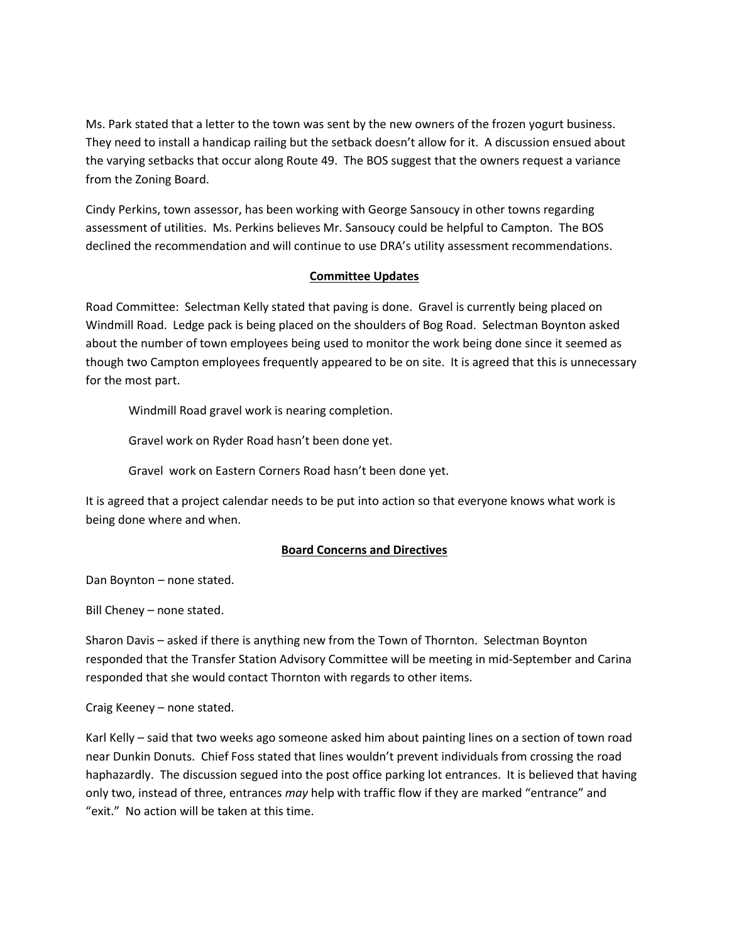Ms. Park stated that a letter to the town was sent by the new owners of the frozen yogurt business. They need to install a handicap railing but the setback doesn't allow for it. A discussion ensued about the varying setbacks that occur along Route 49. The BOS suggest that the owners request a variance from the Zoning Board.

Cindy Perkins, town assessor, has been working with George Sansoucy in other towns regarding assessment of utilities. Ms. Perkins believes Mr. Sansoucy could be helpful to Campton. The BOS declined the recommendation and will continue to use DRA's utility assessment recommendations.

#### **Committee Updates**

Road Committee: Selectman Kelly stated that paving is done. Gravel is currently being placed on Windmill Road. Ledge pack is being placed on the shoulders of Bog Road. Selectman Boynton asked about the number of town employees being used to monitor the work being done since it seemed as though two Campton employees frequently appeared to be on site. It is agreed that this is unnecessary for the most part.

Windmill Road gravel work is nearing completion.

Gravel work on Ryder Road hasn't been done yet.

Gravel work on Eastern Corners Road hasn't been done yet.

It is agreed that a project calendar needs to be put into action so that everyone knows what work is being done where and when.

### **Board Concerns and Directives**

Dan Boynton – none stated.

Bill Cheney – none stated.

Sharon Davis – asked if there is anything new from the Town of Thornton. Selectman Boynton responded that the Transfer Station Advisory Committee will be meeting in mid-September and Carina responded that she would contact Thornton with regards to other items.

Craig Keeney – none stated.

Karl Kelly – said that two weeks ago someone asked him about painting lines on a section of town road near Dunkin Donuts. Chief Foss stated that lines wouldn't prevent individuals from crossing the road haphazardly. The discussion segued into the post office parking lot entrances. It is believed that having only two, instead of three, entrances *may* help with traffic flow if they are marked "entrance" and "exit." No action will be taken at this time.